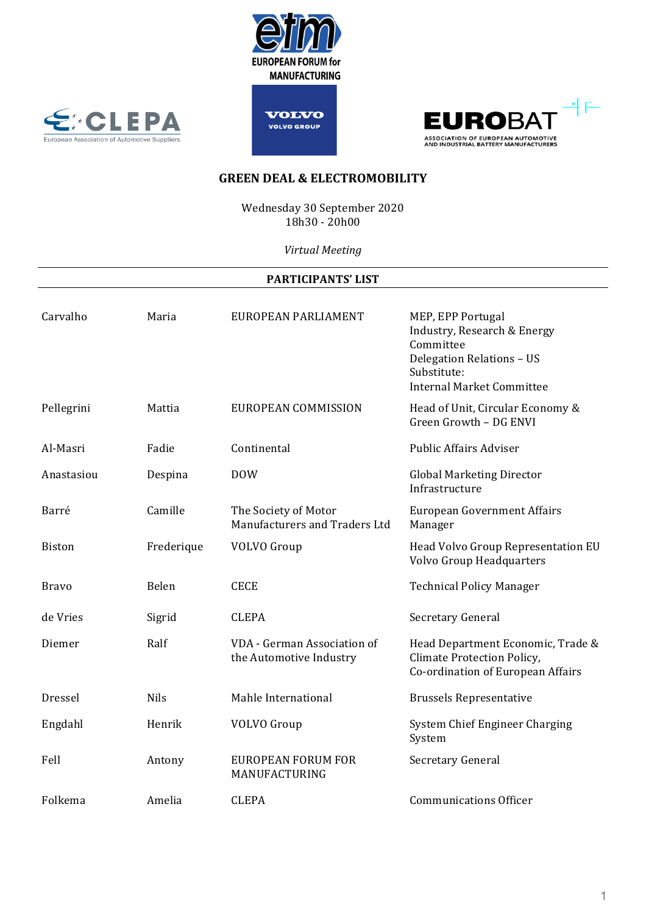







Wednesday 30 September 2020 18h30 - 20h00

*Virtual Meeting*

### **PARTICIPANTS' LIST**

| Carvalho      | Maria       | EUROPEAN PARLIAMENT                                    | MEP, EPP Portugal<br>Industry, Research & Energy<br>Committee<br>Delegation Relations - US<br>Substitute:<br><b>Internal Market Committee</b> |
|---------------|-------------|--------------------------------------------------------|-----------------------------------------------------------------------------------------------------------------------------------------------|
| Pellegrini    | Mattia      | EUROPEAN COMMISSION                                    | Head of Unit, Circular Economy &<br>Green Growth - DG ENVI                                                                                    |
| Al-Masri      | Fadie       | Continental                                            | <b>Public Affairs Adviser</b>                                                                                                                 |
| Anastasiou    | Despina     | <b>DOW</b>                                             | <b>Global Marketing Director</b><br>Infrastructure                                                                                            |
| Barré         | Camille     | The Society of Motor<br>Manufacturers and Traders Ltd  | <b>European Government Affairs</b><br>Manager                                                                                                 |
| <b>Biston</b> | Frederique  | <b>VOLVO</b> Group                                     | Head Volvo Group Representation EU<br>Volvo Group Headquarters                                                                                |
| <b>Bravo</b>  | Belen       | <b>CECE</b>                                            | <b>Technical Policy Manager</b>                                                                                                               |
| de Vries      | Sigrid      | <b>CLEPA</b>                                           | Secretary General                                                                                                                             |
| Diemer        | Ralf        | VDA - German Association of<br>the Automotive Industry | Head Department Economic, Trade &<br>Climate Protection Policy,<br>Co-ordination of European Affairs                                          |
| Dressel       | <b>Nils</b> | Mahle International                                    | <b>Brussels Representative</b>                                                                                                                |
| Engdahl       | Henrik      | <b>VOLVO</b> Group                                     | System Chief Engineer Charging<br>System                                                                                                      |
| Fell          | Antony      | <b>EUROPEAN FORUM FOR</b><br>MANUFACTURING             | Secretary General                                                                                                                             |
| Folkema       | Amelia      | <b>CLEPA</b>                                           | <b>Communications Officer</b>                                                                                                                 |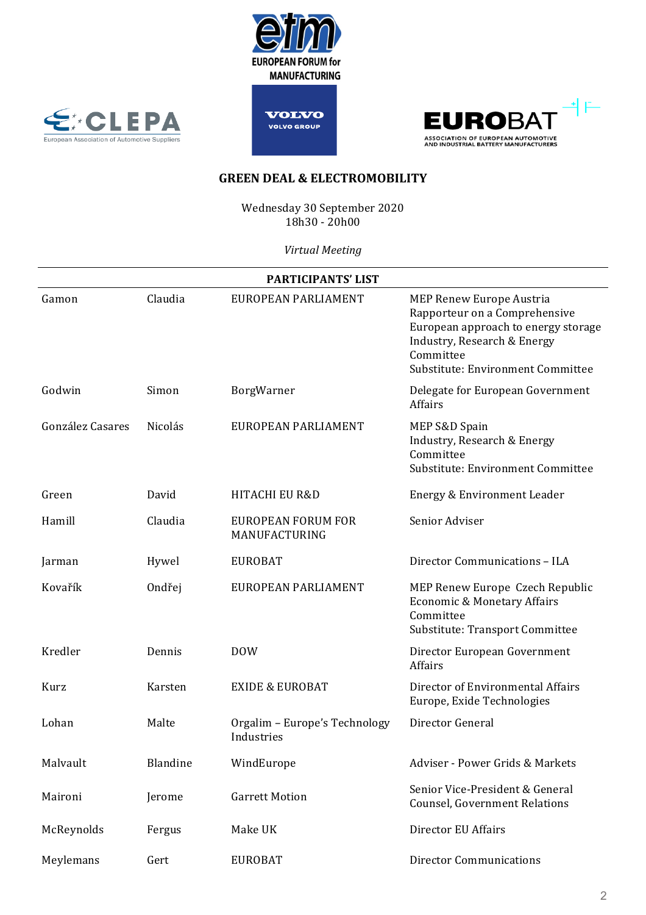







Wednesday 30 September 2020 18h30 - 20h00

*Virtual Meeting*

| PARTICIPANTS' LIST |                |                                             |                                                                                                                                                                                          |  |  |
|--------------------|----------------|---------------------------------------------|------------------------------------------------------------------------------------------------------------------------------------------------------------------------------------------|--|--|
| Gamon              | Claudia        | EUROPEAN PARLIAMENT                         | <b>MEP Renew Europe Austria</b><br>Rapporteur on a Comprehensive<br>European approach to energy storage<br>Industry, Research & Energy<br>Committee<br>Substitute: Environment Committee |  |  |
| Godwin             | Simon          | BorgWarner                                  | Delegate for European Government<br>Affairs                                                                                                                                              |  |  |
| González Casares   | <b>Nicolás</b> | EUROPEAN PARLIAMENT                         | MEP S&D Spain<br>Industry, Research & Energy<br>Committee<br>Substitute: Environment Committee                                                                                           |  |  |
| Green              | David          | <b>HITACHI EU R&amp;D</b>                   | Energy & Environment Leader                                                                                                                                                              |  |  |
| Hamill             | Claudia        | <b>EUROPEAN FORUM FOR</b><br>MANUFACTURING  | Senior Adviser                                                                                                                                                                           |  |  |
| Jarman             | Hywel          | <b>EUROBAT</b>                              | Director Communications - ILA                                                                                                                                                            |  |  |
| Kovařík            | Ondřej         | EUROPEAN PARLIAMENT                         | MEP Renew Europe Czech Republic<br>Economic & Monetary Affairs<br>Committee<br>Substitute: Transport Committee                                                                           |  |  |
| Kredler            | Dennis         | <b>DOW</b>                                  | Director European Government<br>Affairs                                                                                                                                                  |  |  |
| Kurz               | Karsten        | <b>EXIDE &amp; EUROBAT</b>                  | Director of Environmental Affairs<br>Europe, Exide Technologies                                                                                                                          |  |  |
| Lohan              | Malte          | Orgalim - Europe's Technology<br>Industries | Director General                                                                                                                                                                         |  |  |
| Malvault           | Blandine       | WindEurope                                  | Adviser - Power Grids & Markets                                                                                                                                                          |  |  |
| Maironi            | Jerome         | <b>Garrett Motion</b>                       | Senior Vice-President & General<br><b>Counsel, Government Relations</b>                                                                                                                  |  |  |
| McReynolds         | Fergus         | Make UK                                     | Director EU Affairs                                                                                                                                                                      |  |  |
| Meylemans          | Gert           | <b>EUROBAT</b>                              | <b>Director Communications</b>                                                                                                                                                           |  |  |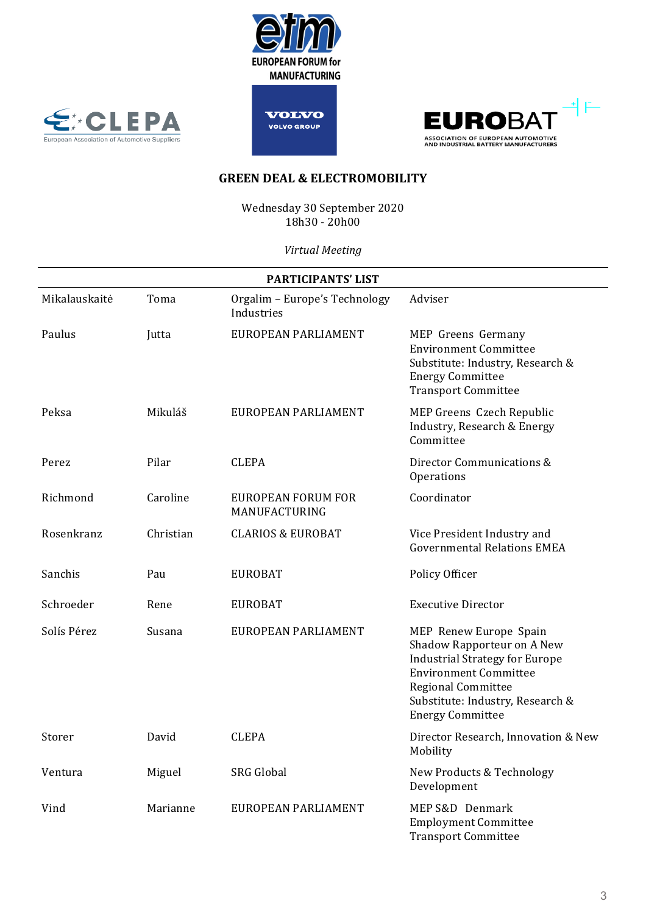![](_page_2_Picture_0.jpeg)

![](_page_2_Picture_1.jpeg)

![](_page_2_Picture_2.jpeg)

![](_page_2_Picture_3.jpeg)

Wednesday 30 September 2020 18h30 - 20h00

*Virtual Meeting*

| <b>PARTICIPANTS' LIST</b> |           |                                             |                                                                                                                                                                                                                    |  |  |
|---------------------------|-----------|---------------------------------------------|--------------------------------------------------------------------------------------------------------------------------------------------------------------------------------------------------------------------|--|--|
| Mikalauskaitė             | Toma      | Orgalim - Europe's Technology<br>Industries | Adviser                                                                                                                                                                                                            |  |  |
| Paulus                    | Jutta     | EUROPEAN PARLIAMENT                         | MEP Greens Germany<br><b>Environment Committee</b><br>Substitute: Industry, Research &<br><b>Energy Committee</b><br><b>Transport Committee</b>                                                                    |  |  |
| Peksa                     | Mikuláš   | EUROPEAN PARLIAMENT                         | MEP Greens Czech Republic<br>Industry, Research & Energy<br>Committee                                                                                                                                              |  |  |
| Perez                     | Pilar     | <b>CLEPA</b>                                | Director Communications &<br>Operations                                                                                                                                                                            |  |  |
| Richmond                  | Caroline  | <b>EUROPEAN FORUM FOR</b><br>MANUFACTURING  | Coordinator                                                                                                                                                                                                        |  |  |
| Rosenkranz                | Christian | <b>CLARIOS &amp; EUROBAT</b>                | Vice President Industry and<br><b>Governmental Relations EMEA</b>                                                                                                                                                  |  |  |
| Sanchis                   | Pau       | <b>EUROBAT</b>                              | Policy Officer                                                                                                                                                                                                     |  |  |
| Schroeder                 | Rene      | <b>EUROBAT</b>                              | <b>Executive Director</b>                                                                                                                                                                                          |  |  |
| Solís Pérez               | Susana    | EUROPEAN PARLIAMENT                         | MEP Renew Europe Spain<br>Shadow Rapporteur on A New<br><b>Industrial Strategy for Europe</b><br><b>Environment Committee</b><br>Regional Committee<br>Substitute: Industry, Research &<br><b>Energy Committee</b> |  |  |
| Storer                    | David     | <b>CLEPA</b>                                | Director Research, Innovation & New<br>Mobility                                                                                                                                                                    |  |  |
| Ventura                   | Miguel    | <b>SRG</b> Global                           | New Products & Technology<br>Development                                                                                                                                                                           |  |  |
| Vind                      | Marianne  | EUROPEAN PARLIAMENT                         | MEP S&D Denmark<br><b>Employment Committee</b><br><b>Transport Committee</b>                                                                                                                                       |  |  |